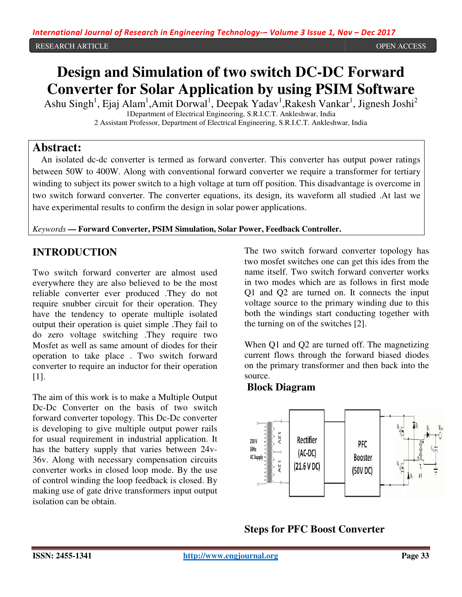#### OPEN ACCESS

# **Design and Simulation of two switch DC-DC Forward Converter for Solar Application by using PSIM Software**

Ashu Singh<sup>1</sup>, Ejaj Alam<sup>1</sup>,Amit Dorwal<sup>1</sup>, Deepak Yadav<sup>1</sup>,Rakesh Vankar<sup>1</sup>, Jignesh Joshi<sup>2</sup> 1Department of Electrical Engineering, S.R.I.C.T. Ankleshwar, India

1 Department of Electrical Engineering, S.R.I.C.T. Ankleshwar, India<br>2 Assistant Professor, Department of Electrical Engineering, S.R.I.C.T. Ankleshwar, India

# **Abstract:**

An isolated dc-dc converter is termed as forward converter. This converter has output power ratings between 50W to 400W. Along with conventional forward converter we require a transformer for tertiary winding to subject its power switch to a high voltage at turn off position. This disadvantage is overcome in two switch forward converter. The converter equations, its design, its waveform all studied .At last we have experimental results to confirm the design in solar power applications.

*Keywords* **— Forward Converter, PSIM Simulation, Solar Power, Feedback Controller Controller.**

# **INTRODUCTION**

Two switch forward converter are almost used everywhere they are also believed to be the most reliable converter ever produced .They do not require snubber circuit for their operation. They have the tendency to operate multiple isolated output their operation is quiet simple .They fail to do zero voltage switching .They require two Mosfet as well as same amount of diodes for their operation to take place . Two switch forward converter to require an inductor for their operation [1]. forward converter are almost used<br>they are also believed to be the most<br>verter ever produced .They do not<br>bber circuit for their operation. They have the tendency to operate multiple isolated<br>output their operation is quiet simple .They fail to<br>do zero voltage switching .They require two<br>Mosfet as well as same amount of diodes for their<br>operation to take place . Tw **INTRODUCTION**<br>
The two switch forward converter are almost used<br>
two mostel stricths one can get this ides from the<br>
everywhere they also believed to be the most unit to modes which are as follows in first mode<br>
erelable

The aim of this work is to make a Multiple Output Dc-Dc Converter on the basis of two switch forward converter topology. This Dc-Dc conve is developing to give multiple output power rails for usual requirement in industrial application. It for usual requirement in industrial application. It<br>has the battery supply that varies between 24v-36v. Along with necessary compensation circuits converter works in closed loop mode. By the use of control winding the loop feedback is closed. By making use of gate drive transformers input output isolation can be obtain.

two mosfet switches one can get this ides from the name itself. Two switch forward converter works name itself. Two switch forward in two modes which are as follows in first mode Q1 and Q2 are turned on. It connects the input voltage source to the primary winding due to this both the windings start conducting together with the turning on of the switches [2]. wo modes which are as follows in first mode<br>and  $Q2$  are turned on. It connects the input<br>age source to the primary winding due to this<br>the windings start conducting together with

the turning on of the switches [2].<br>When Q1 and Q2 are turned off. The magnetizing current flows through the forward biased diodes on the primary transformer and then back into the source.

### **Block Diagram**



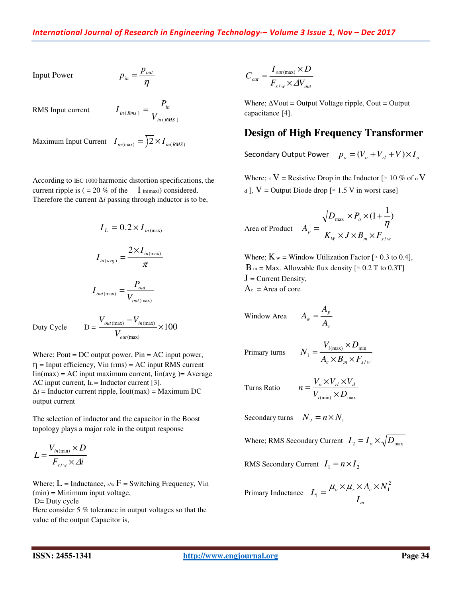Input Power

η  $\sum_{in} = \frac{P_{out}}{P}$  $p_{in} = \frac{p_{out}}{p_{out}}$ 

RMS Input current

$$
I_{in(Rms)} = \frac{P_{in}}{V_{in(RMS)}}
$$

Maximum Input Current  $I_{in(max)} = 2 \times I_{in(RMS)}$ 

According to IEC 1000 harmonic distortion specifications, the current ripple is  $( = 20\% \text{ of the } I_{in(max)})$  considered. Therefore the current ∆*i* passing through inductor is to be,

$$
I_L = 0.2 \times I_{in(max)}
$$

$$
I_{in(arg)} = \frac{2 \times I_{in(max)}}{\pi}
$$

$$
I_{\text{out(max)}} = \frac{P_{\text{out}}}{V_{\text{out(max)}}}
$$

Duty Cycle  $D =$ 

$$
= \frac{V_{out(max)} - V_{in(max)}}{V_{out(max)}} \times 100
$$

Where; Pout  $= DC$  output power, Pin  $= AC$  input power,  $\eta$  = Input efficiency, Vin (rms) = AC input RMS current  $\text{Iin}(\text{max}) = \text{AC}$  input maximum current,  $\text{Iin}(\text{avg}) = \text{Average}$ AC input current,  $L = Inductor current [3].$  $\Delta i$  = Inductor current ripple, Iout(max) = Maximum DC output current

The selection of inductor and the capacitor in the Boost topology plays a major role in the output response

$$
L = \frac{V_{in(\min)} \times D}{F_{s/w} \times \Delta i}
$$

Where;  $L = Inductance$ ,  $s/w = Switching Frequency$ , Vin (min) = Minimum input voltage,

D= Duty cycle

Here consider 5 % tolerance in output voltages so that the value of the output Capacitor is,

$$
C_{_{out}} = \frac{I_{_{out(max)}} \times D}{F_{_{s/w}} \times \Delta V_{_{out}}}
$$

Where;  $\Delta$ Vout = Output Voltage ripple, Cout = Output capacitance [4].

### **Design of High Frequency Transformer**

Secondary Output Power  $p_o = (V_o + V_{rl} + V) \times I_o$ 

Where; rl V = Resistive Drop in the Inductor [ $\approx 10\%$  of  $\circ$  V d ],  $V =$  Output Diode drop [ $\approx$  1.5 V in worst case]

Area of Product  $W \wedge J \wedge D_m \wedge I_{s/w}$ *o*  $\mu^p$   $K_W \times J \times B_m \times F$  $D_{\max} \times P_{\phi}$ *A* /  $\frac{1}{\max}$  ×  $P_o$  × (1+ $\frac{1}{n}$ )  $\times J \times B_m \times$  $\times P_{\scriptscriptstyle{\theta}} \times (1 +$  $=\frac{\eta}{\eta}$ 

Where;  $K_w$  = Window Utilization Factor [ $\approx 0.3$  to 0.4],  $B_m = Max$ . Allowable flux density [ $\approx 0.2$  T to 0.3T]  $J =$  Current Density,  $A_c$  = Area of core

$$
Window Area \t A_w = \frac{A_p}{A_c}
$$

Primary turns

$$
=\frac{V_{i(\max)} \times D_{\min}}{A_c \times B_m \times F_{s/w}}
$$

 $V_{i(\text{min})} \times D_{\text{max}}$  $n = \frac{V_o \times V_{rl} \times V}{V}$ *i*

 $\sigma$   $\Lambda$   $\mathbf{v}$ <sub>*rl*</sub>  $\Lambda$   $\mathbf{v}$ <sub>*d*</sub> ×  $=\frac{V_o \times V_{rl} \times}{V}$ 

Turns Ratio

Secondary turns  $N_2 = n \times N_1$ 

*N* 1

Where; RMS Secondary Current  $I_2 = I_0 \times \sqrt{D_{\text{max}}}$ 

RMS Secondary Current  $I_1 = n \times I_2$ 

Primary Inductance 
$$
L_1 = \frac{\mu_o \times \mu_r \times A_c \times N_1^2}{I_m}
$$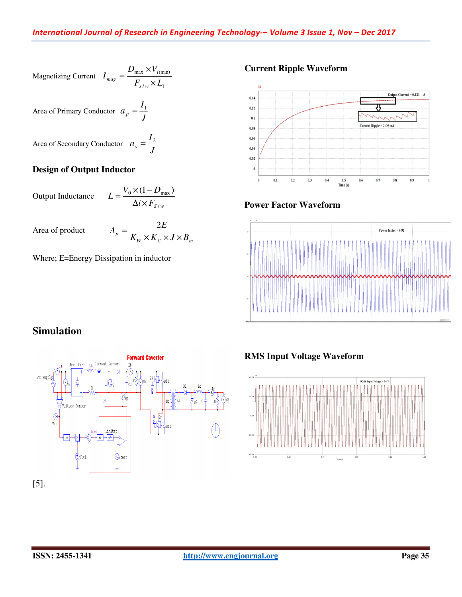Magnetizing Current 
$$
I_{mag} = \frac{D_{max} \times V_{i(min)}}{F_{s/w} \times L_1}
$$

Area of Primary Conductor  $a_p = \frac{1}{J}$  $a_p = \frac{I_1}{I_2}$ 

Area of Secondary Conductor  $a_s = \frac{1}{J}$  $a_s = \frac{I_2}{I}$ 

#### **Design of Output Inductor**

Output Inductance  $i \times F_{S/w}$  $L = \frac{V_0 \times (1 - D)}{11}$ /  $\chi_0 \times (1-D_{\text{max}})$  $\Delta i \times$  $=\frac{V_0 \times (1 -$ 

Area of product

$$
A_p = \frac{2E}{K_W \times K_C \times J \times B_m}
$$

Where; E=Energy Dissipation in inductor

# **Current Ripple Waveform**



#### **Power Factor Waveform**



# **Simulation**



### **RMS Input Voltage Waveform Input Voltage**